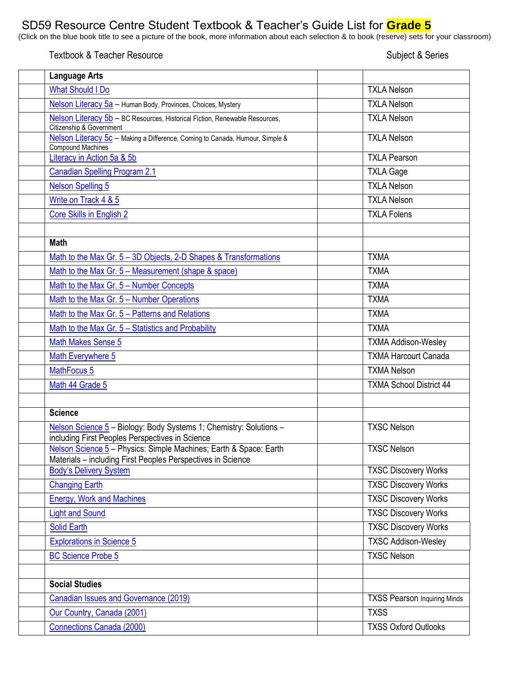## SD59 Resource Centre Student Textbook & Teacher's Guide List for **Grade 5**

(Click on the blue book title to see a picture of the book, more information about each selection & to book (reserve) sets for your classroom)

## Textbook & Teacher Resource Subject & Series

| <b>Language Arts</b>                                                                                                             |                                     |
|----------------------------------------------------------------------------------------------------------------------------------|-------------------------------------|
| <b>What Should I Do</b>                                                                                                          | <b>TXLA Nelson</b>                  |
| Nelson Literacy 5a - Human Body, Provinces, Choices, Mystery                                                                     | <b>TXLA Nelson</b>                  |
| Nelson Literacy 5b - BC Resources, Historical Fiction, Renewable Resources,<br>Citizenship & Government                          | <b>TXLA Nelson</b>                  |
| Nelson Literacy 5c - Making a Difference, Coming to Canada, Humour, Simple &<br><b>Compound Machines</b>                         | <b>TXLA Nelson</b>                  |
| Literacy in Action 5a & 5b                                                                                                       | <b>TXLA Pearson</b>                 |
| <b>Canadian Spelling Program 2.1</b>                                                                                             | <b>TXLA Gage</b>                    |
| <b>Nelson Spelling 5</b>                                                                                                         | <b>TXLA Nelson</b>                  |
| Write on Track 4 & 5                                                                                                             | <b>TXLA Nelson</b>                  |
| <b>Core Skills in English 2</b>                                                                                                  | <b>TXLA Folens</b>                  |
| <b>Math</b>                                                                                                                      |                                     |
| Math to the Max Gr. 5 - 3D Objects, 2-D Shapes & Transformations                                                                 | <b>TXMA</b>                         |
| Math to the Max Gr. 5 - Measurement (shape & space)                                                                              | <b>TXMA</b>                         |
| Math to the Max Gr. 5 - Number Concepts                                                                                          | <b>TXMA</b>                         |
| Math to the Max Gr. 5 - Number Operations                                                                                        | <b>TXMA</b>                         |
| Math to the Max Gr. 5 - Patterns and Relations                                                                                   | <b>TXMA</b>                         |
| Math to the Max Gr. 5 - Statistics and Probability                                                                               | <b>TXMA</b>                         |
| <b>Math Makes Sense 5</b>                                                                                                        | <b>TXMA Addison-Wesley</b>          |
| Math Everywhere 5                                                                                                                | <b>TXMA Harcourt Canada</b>         |
| MathFocus 5                                                                                                                      | <b>TXMA Nelson</b>                  |
| Math 44 Grade 5                                                                                                                  | <b>TXMA School District 44</b>      |
| <b>Science</b>                                                                                                                   |                                     |
| Nelson Science 5 - Biology: Body Systems 1; Chemistry: Solutions -<br>including First Peoples Perspectives in Science            | <b>TXSC Nelson</b>                  |
| Nelson Science 5 - Physics: Simple Machines; Earth & Space: Earth<br>Materials - including First Peoples Perspectives in Science | <b>TXSC Nelson</b>                  |
| <b>Body's Delivery System</b>                                                                                                    | <b>TXSC Discovery Works</b>         |
| <b>Changing Earth</b>                                                                                                            | <b>TXSC Discovery Works</b>         |
| <b>Energy, Work and Machines</b>                                                                                                 | <b>TXSC Discovery Works</b>         |
| <b>Light and Sound</b>                                                                                                           | <b>TXSC Discovery Works</b>         |
| <b>Solid Earth</b>                                                                                                               | <b>TXSC Discovery Works</b>         |
| <b>Explorations in Science 5</b>                                                                                                 | <b>TXSC Addison-Wesley</b>          |
| <b>BC Science Probe 5</b>                                                                                                        | <b>TXSC Nelson</b>                  |
| <b>Social Studies</b>                                                                                                            |                                     |
| <b>Canadian Issues and Governance (2019)</b>                                                                                     | <b>TXSS Pearson Inquiring Minds</b> |
| Our Country, Canada (2001)                                                                                                       | <b>TXSS</b>                         |
| <b>Connections Canada (2000)</b>                                                                                                 | <b>TXSS Oxford Outlooks</b>         |